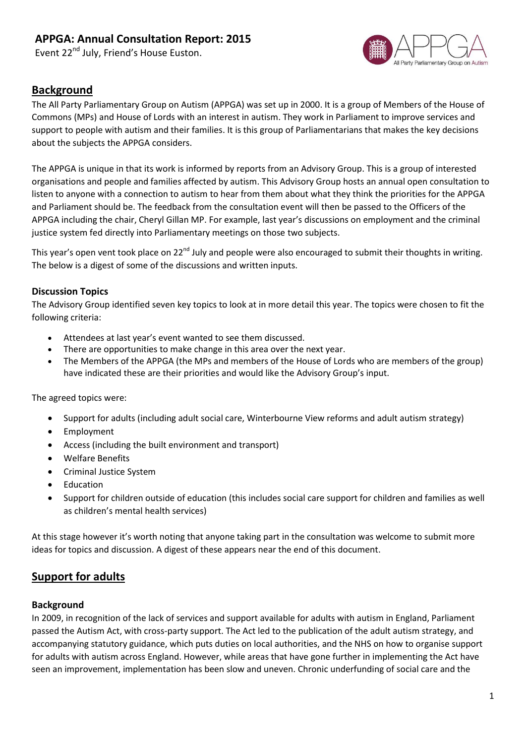Event 22<sup>nd</sup> July, Friend's House Euston.



### **Background**

The All Party Parliamentary Group on Autism (APPGA) was set up in 2000. It is a group of Members of the House of Commons (MPs) and House of Lords with an interest in autism. They work in Parliament to improve services and support to people with autism and their families. It is this group of Parliamentarians that makes the key decisions about the subjects the APPGA considers.

The APPGA is unique in that its work is informed by reports from an Advisory Group. This is a group of interested organisations and people and families affected by autism. This Advisory Group hosts an annual open consultation to listen to anyone with a connection to autism to hear from them about what they think the priorities for the APPGA and Parliament should be. The feedback from the consultation event will then be passed to the Officers of the APPGA including the chair, Cheryl Gillan MP. For example, last year's discussions on employment and the criminal justice system fed directly into Parliamentary meetings on those two subjects.

This year's open vent took place on 22<sup>nd</sup> July and people were also encouraged to submit their thoughts in writing. The below is a digest of some of the discussions and written inputs.

#### **Discussion Topics**

The Advisory Group identified seven key topics to look at in more detail this year. The topics were chosen to fit the following criteria:

- Attendees at last year's event wanted to see them discussed.
- There are opportunities to make change in this area over the next year.
- The Members of the APPGA (the MPs and members of the House of Lords who are members of the group) have indicated these are their priorities and would like the Advisory Group's input.

The agreed topics were:

- Support for adults (including adult social care, Winterbourne View reforms and adult autism strategy)
- Employment
- Access (including the built environment and transport)
- Welfare Benefits
- Criminal Justice System
- Education
- Support for children outside of education (this includes social care support for children and families as well as children's mental health services)

At this stage however it's worth noting that anyone taking part in the consultation was welcome to submit more ideas for topics and discussion. A digest of these appears near the end of this document.

### **Support for adults**

#### **Background**

In 2009, in recognition of the lack of services and support available for adults with autism in England, Parliament passed the Autism Act, with cross-party support. The Act led to the publication of the adult autism strategy, and accompanying statutory guidance, which puts duties on local authorities, and the NHS on how to organise support for adults with autism across England. However, while areas that have gone further in implementing the Act have seen an improvement, implementation has been slow and uneven. Chronic underfunding of social care and the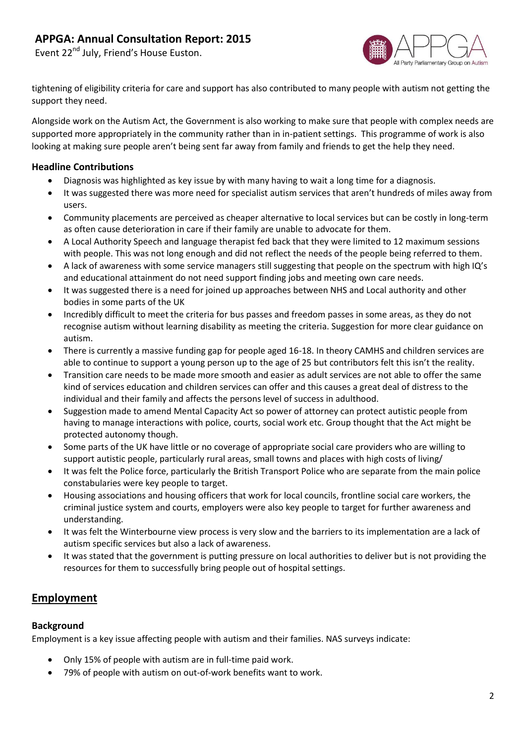Event 22<sup>nd</sup> July, Friend's House Euston.



tightening of eligibility criteria for care and support has also contributed to many people with autism not getting the support they need.

Alongside work on the Autism Act, the Government is also working to make sure that people with complex needs are supported more appropriately in the community rather than in in-patient settings. This programme of work is also looking at making sure people aren't being sent far away from family and friends to get the help they need.

#### **Headline Contributions**

- Diagnosis was highlighted as key issue by with many having to wait a long time for a diagnosis.
- It was suggested there was more need for specialist autism services that aren't hundreds of miles away from users.
- Community placements are perceived as cheaper alternative to local services but can be costly in long-term as often cause deterioration in care if their family are unable to advocate for them.
- A Local Authority Speech and language therapist fed back that they were limited to 12 maximum sessions with people. This was not long enough and did not reflect the needs of the people being referred to them.
- A lack of awareness with some service managers still suggesting that people on the spectrum with high IQ's and educational attainment do not need support finding jobs and meeting own care needs.
- It was suggested there is a need for joined up approaches between NHS and Local authority and other bodies in some parts of the UK
- Incredibly difficult to meet the criteria for bus passes and freedom passes in some areas, as they do not recognise autism without learning disability as meeting the criteria. Suggestion for more clear guidance on autism.
- There is currently a massive funding gap for people aged 16-18. In theory CAMHS and children services are able to continue to support a young person up to the age of 25 but contributors felt this isn't the reality.
- Transition care needs to be made more smooth and easier as adult services are not able to offer the same kind of services education and children services can offer and this causes a great deal of distress to the individual and their family and affects the persons level of success in adulthood.
- Suggestion made to amend Mental Capacity Act so power of attorney can protect autistic people from having to manage interactions with police, courts, social work etc. Group thought that the Act might be protected autonomy though.
- Some parts of the UK have little or no coverage of appropriate social care providers who are willing to support autistic people, particularly rural areas, small towns and places with high costs of living/
- It was felt the Police force, particularly the British Transport Police who are separate from the main police constabularies were key people to target.
- Housing associations and housing officers that work for local councils, frontline social care workers, the criminal justice system and courts, employers were also key people to target for further awareness and understanding.
- It was felt the Winterbourne view process is very slow and the barriers to its implementation are a lack of autism specific services but also a lack of awareness.
- It was stated that the government is putting pressure on local authorities to deliver but is not providing the resources for them to successfully bring people out of hospital settings.

### **Employment**

#### **Background**

Employment is a key issue affecting people with autism and their families. NAS surveys indicate:

- Only 15% of people with autism are in full-time paid work.
- 79% of people with autism on out-of-work benefits want to work.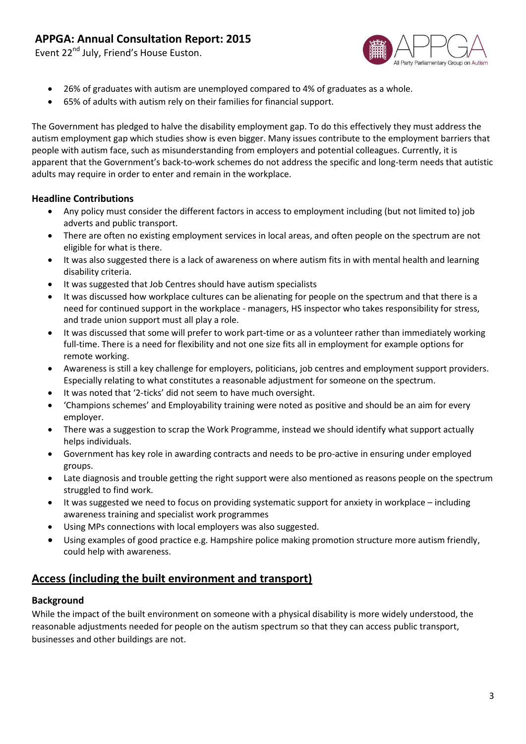Event 22<sup>nd</sup> July, Friend's House Euston.



- 26% of graduates with autism are unemployed compared to 4% of graduates as a whole.
- 65% of adults with autism rely on their families for financial support.

The Government has pledged to halve the disability employment gap. To do this effectively they must address the autism employment gap which studies show is even bigger. Many issues contribute to the employment barriers that people with autism face, such as misunderstanding from employers and potential colleagues. Currently, it is apparent that the Government's back-to-work schemes do not address the specific and long-term needs that autistic adults may require in order to enter and remain in the workplace.

#### **Headline Contributions**

- Any policy must consider the different factors in access to employment including (but not limited to) job adverts and public transport.
- There are often no existing employment services in local areas, and often people on the spectrum are not eligible for what is there.
- It was also suggested there is a lack of awareness on where autism fits in with mental health and learning disability criteria.
- It was suggested that Job Centres should have autism specialists
- It was discussed how workplace cultures can be alienating for people on the spectrum and that there is a need for continued support in the workplace - managers, HS inspector who takes responsibility for stress, and trade union support must all play a role.
- It was discussed that some will prefer to work part-time or as a volunteer rather than immediately working full-time. There is a need for flexibility and not one size fits all in employment for example options for remote working.
- Awareness is still a key challenge for employers, politicians, job centres and employment support providers. Especially relating to what constitutes a reasonable adjustment for someone on the spectrum.
- It was noted that '2-ticks' did not seem to have much oversight.
- 'Champions schemes' and Employability training were noted as positive and should be an aim for every employer.
- There was a suggestion to scrap the Work Programme, instead we should identify what support actually helps individuals.
- Government has key role in awarding contracts and needs to be pro-active in ensuring under employed groups.
- Late diagnosis and trouble getting the right support were also mentioned as reasons people on the spectrum struggled to find work.
- It was suggested we need to focus on providing systematic support for anxiety in workplace including awareness training and specialist work programmes
- Using MPs connections with local employers was also suggested.
- Using examples of good practice e.g. Hampshire police making promotion structure more autism friendly, could help with awareness.

### **Access (including the built environment and transport)**

#### **Background**

While the impact of the built environment on someone with a physical disability is more widely understood, the reasonable adjustments needed for people on the autism spectrum so that they can access public transport, businesses and other buildings are not.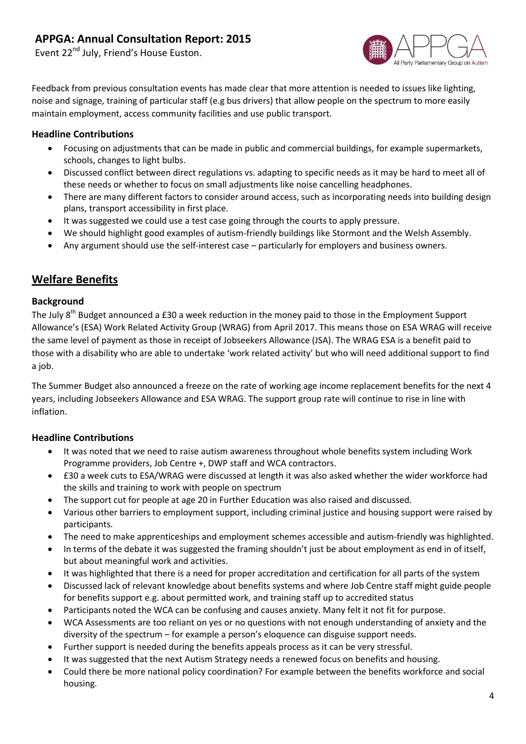Event 22<sup>nd</sup> July, Friend's House Euston.



Feedback from previous consultation events has made clear that more attention is needed to issues like lighting, noise and signage, training of particular staff (e.g bus drivers) that allow people on the spectrum to more easily maintain employment, access community facilities and use public transport.

#### **Headline Contributions**

- Focusing on adjustments that can be made in public and commercial buildings, for example supermarkets, schools, changes to light bulbs.
- Discussed conflict between direct regulations vs. adapting to specific needs as it may be hard to meet all of these needs or whether to focus on small adjustments like noise cancelling headphones.
- There are many different factors to consider around access, such as incorporating needs into building design plans, transport accessibility in first place.
- It was suggested we could use a test case going through the courts to apply pressure.
- We should highlight good examples of autism-friendly buildings like Stormont and the Welsh Assembly.
- Any argument should use the self-interest case particularly for employers and business owners.

## **Welfare Benefits**

#### **Background**

The July  $8<sup>th</sup>$  Budget announced a £30 a week reduction in the money paid to those in the Employment Support Allowance's (ESA) Work Related Activity Group (WRAG) from April 2017. This means those on ESA WRAG will receive the same level of payment as those in receipt of Jobseekers Allowance (JSA). The WRAG ESA is a benefit paid to those with a disability who are able to undertake 'work related activity' but who will need additional support to find a job.

The Summer Budget also announced a freeze on the rate of working age income replacement benefits for the next 4 years, including Jobseekers Allowance and ESA WRAG. The support group rate will continue to rise in line with inflation.

#### **Headline Contributions**

- It was noted that we need to raise autism awareness throughout whole benefits system including Work Programme providers, Job Centre +, DWP staff and WCA contractors.
- £30 a week cuts to ESA/WRAG were discussed at length it was also asked whether the wider workforce had the skills and training to work with people on spectrum
- The support cut for people at age 20 in Further Education was also raised and discussed.
- Various other barriers to employment support, including criminal justice and housing support were raised by participants.
- The need to make apprenticeships and employment schemes accessible and autism-friendly was highlighted.
- In terms of the debate it was suggested the framing shouldn't just be about employment as end in of itself, but about meaningful work and activities.
- It was highlighted that there is a need for proper accreditation and certification for all parts of the system
- Discussed lack of relevant knowledge about benefits systems and where Job Centre staff might guide people for benefits support e.g. about permitted work, and training staff up to accredited status
- Participants noted the WCA can be confusing and causes anxiety. Many felt it not fit for purpose.
- WCA Assessments are too reliant on yes or no questions with not enough understanding of anxiety and the diversity of the spectrum – for example a person's eloquence can disguise support needs.
- Further support is needed during the benefits appeals process as it can be very stressful.
- It was suggested that the next Autism Strategy needs a renewed focus on benefits and housing.
- Could there be more national policy coordination? For example between the benefits workforce and social housing.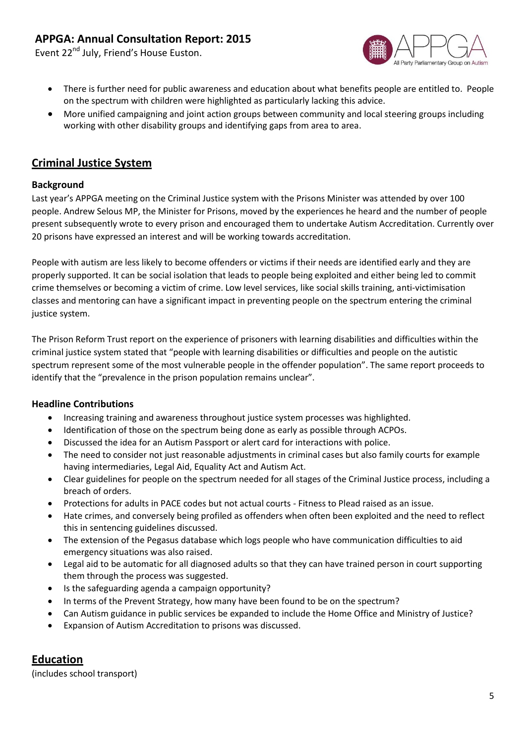Event 22<sup>nd</sup> July, Friend's House Euston.



- There is further need for public awareness and education about what benefits people are entitled to. People on the spectrum with children were highlighted as particularly lacking this advice.
- More unified campaigning and joint action groups between community and local steering groups including working with other disability groups and identifying gaps from area to area.

## **Criminal Justice System**

#### **Background**

Last year's APPGA meeting on the Criminal Justice system with the Prisons Minister was attended by over 100 people. Andrew Selous MP, the Minister for Prisons, moved by the experiences he heard and the number of people present subsequently wrote to every prison and encouraged them to undertake Autism Accreditation. Currently over 20 prisons have expressed an interest and will be working towards accreditation.

People with autism are less likely to become offenders or victims if their needs are identified early and they are properly supported. It can be social isolation that leads to people being exploited and either being led to commit crime themselves or becoming a victim of crime. Low level services, like social skills training, anti-victimisation classes and mentoring can have a significant impact in preventing people on the spectrum entering the criminal justice system.

The Prison Reform Trust report on the experience of prisoners with learning disabilities and difficulties within the criminal justice system stated that "people with learning disabilities or difficulties and people on the autistic spectrum represent some of the most vulnerable people in the offender population". The same report proceeds to identify that the "prevalence in the prison population remains unclear".

#### **Headline Contributions**

- Increasing training and awareness throughout justice system processes was highlighted.
- Identification of those on the spectrum being done as early as possible through ACPOs.
- Discussed the idea for an Autism Passport or alert card for interactions with police.
- The need to consider not just reasonable adjustments in criminal cases but also family courts for example having intermediaries, Legal Aid, Equality Act and Autism Act.
- Clear guidelines for people on the spectrum needed for all stages of the Criminal Justice process, including a breach of orders.
- Protections for adults in PACE codes but not actual courts Fitness to Plead raised as an issue.
- Hate crimes, and conversely being profiled as offenders when often been exploited and the need to reflect this in sentencing guidelines discussed.
- The extension of the Pegasus database which logs people who have communication difficulties to aid emergency situations was also raised.
- Legal aid to be automatic for all diagnosed adults so that they can have trained person in court supporting them through the process was suggested.
- Is the safeguarding agenda a campaign opportunity?
- In terms of the Prevent Strategy, how many have been found to be on the spectrum?
- Can Autism guidance in public services be expanded to include the Home Office and Ministry of Justice?
- Expansion of Autism Accreditation to prisons was discussed.

### **Education**

(includes school transport)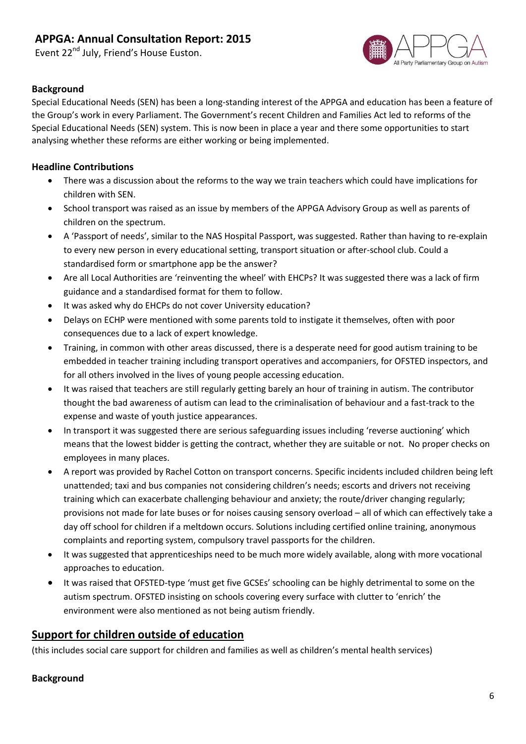Event 22<sup>nd</sup> July, Friend's House Euston.



#### **Background**

Special Educational Needs (SEN) has been a long-standing interest of the APPGA and education has been a feature of the Group's work in every Parliament. The Government's recent Children and Families Act led to reforms of the Special Educational Needs (SEN) system. This is now been in place a year and there some opportunities to start analysing whether these reforms are either working or being implemented.

#### **Headline Contributions**

- There was a discussion about the reforms to the way we train teachers which could have implications for children with SEN.
- School transport was raised as an issue by members of the APPGA Advisory Group as well as parents of children on the spectrum.
- A 'Passport of needs', similar to the NAS Hospital Passport, was suggested. Rather than having to re-explain to every new person in every educational setting, transport situation or after-school club. Could a standardised form or smartphone app be the answer?
- Are all Local Authorities are 'reinventing the wheel' with EHCPs? It was suggested there was a lack of firm guidance and a standardised format for them to follow.
- It was asked why do EHCPs do not cover University education?
- Delays on ECHP were mentioned with some parents told to instigate it themselves, often with poor consequences due to a lack of expert knowledge.
- Training, in common with other areas discussed, there is a desperate need for good autism training to be embedded in teacher training including transport operatives and accompaniers, for OFSTED inspectors, and for all others involved in the lives of young people accessing education.
- It was raised that teachers are still regularly getting barely an hour of training in autism. The contributor thought the bad awareness of autism can lead to the criminalisation of behaviour and a fast-track to the expense and waste of youth justice appearances.
- In transport it was suggested there are serious safeguarding issues including 'reverse auctioning' which means that the lowest bidder is getting the contract, whether they are suitable or not. No proper checks on employees in many places.
- A report was provided by Rachel Cotton on transport concerns. Specific incidents included children being left unattended; taxi and bus companies not considering children's needs; escorts and drivers not receiving training which can exacerbate challenging behaviour and anxiety; the route/driver changing regularly; provisions not made for late buses or for noises causing sensory overload – all of which can effectively take a day off school for children if a meltdown occurs. Solutions including certified online training, anonymous complaints and reporting system, compulsory travel passports for the children.
- It was suggested that apprenticeships need to be much more widely available, along with more vocational approaches to education.
- It was raised that OFSTED-type 'must get five GCSEs' schooling can be highly detrimental to some on the autism spectrum. OFSTED insisting on schools covering every surface with clutter to 'enrich' the environment were also mentioned as not being autism friendly.

### **Support for children outside of education**

(this includes social care support for children and families as well as children's mental health services)

#### **Background**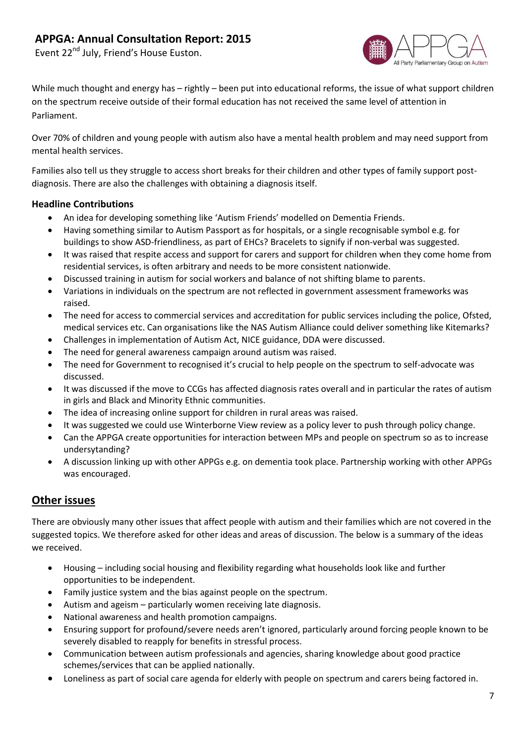Event 22<sup>nd</sup> July, Friend's House Euston.



While much thought and energy has – rightly – been put into educational reforms, the issue of what support children on the spectrum receive outside of their formal education has not received the same level of attention in Parliament.

Over 70% of children and young people with autism also have a mental health problem and may need support from mental health services.

Families also tell us they struggle to access short breaks for their children and other types of family support postdiagnosis. There are also the challenges with obtaining a diagnosis itself.

#### **Headline Contributions**

- An idea for developing something like 'Autism Friends' modelled on Dementia Friends.
- Having something similar to Autism Passport as for hospitals, or a single recognisable symbol e.g. for buildings to show ASD-friendliness, as part of EHCs? Bracelets to signify if non-verbal was suggested.
- It was raised that respite access and support for carers and support for children when they come home from residential services, is often arbitrary and needs to be more consistent nationwide.
- Discussed training in autism for social workers and balance of not shifting blame to parents.
- Variations in individuals on the spectrum are not reflected in government assessment frameworks was raised.
- The need for access to commercial services and accreditation for public services including the police, Ofsted, medical services etc. Can organisations like the NAS Autism Alliance could deliver something like Kitemarks?
- Challenges in implementation of Autism Act, NICE guidance, DDA were discussed.
- The need for general awareness campaign around autism was raised.
- The need for Government to recognised it's crucial to help people on the spectrum to self-advocate was discussed.
- It was discussed if the move to CCGs has affected diagnosis rates overall and in particular the rates of autism in girls and Black and Minority Ethnic communities.
- The idea of increasing online support for children in rural areas was raised.
- It was suggested we could use Winterborne View review as a policy lever to push through policy change.
- Can the APPGA create opportunities for interaction between MPs and people on spectrum so as to increase undersytanding?
- A discussion linking up with other APPGs e.g. on dementia took place. Partnership working with other APPGs was encouraged.

### **Other issues**

There are obviously many other issues that affect people with autism and their families which are not covered in the suggested topics. We therefore asked for other ideas and areas of discussion. The below is a summary of the ideas we received.

- Housing including social housing and flexibility regarding what households look like and further opportunities to be independent.
- Family justice system and the bias against people on the spectrum.
- Autism and ageism particularly women receiving late diagnosis.
- National awareness and health promotion campaigns.
- Ensuring support for profound/severe needs aren't ignored, particularly around forcing people known to be severely disabled to reapply for benefits in stressful process.
- Communication between autism professionals and agencies, sharing knowledge about good practice schemes/services that can be applied nationally.
- Loneliness as part of social care agenda for elderly with people on spectrum and carers being factored in.